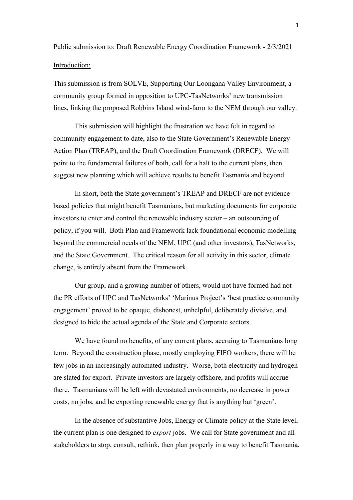Public submission to: Draft Renewable Energy Coordination Framework - 2/3/2021 Introduction:

This submission is from SOLVE, Supporting Our Loongana Valley Environment, a community group formed in opposition to UPC-TasNetworks' new transmission lines, linking the proposed Robbins Island wind-farm to the NEM through our valley.

This submission will highlight the frustration we have felt in regard to community engagement to date, also to the State Government's Renewable Energy Action Plan (TREAP), and the Draft Coordination Framework (DRECF). We will point to the fundamental failures of both, call for a halt to the current plans, then suggest new planning which will achieve results to benefit Tasmania and beyond.

In short, both the State government's TREAP and DRECF are not evidencebased policies that might benefit Tasmanians, but marketing documents for corporate investors to enter and control the renewable industry sector – an outsourcing of policy, if you will. Both Plan and Framework lack foundational economic modelling beyond the commercial needs of the NEM, UPC (and other investors), TasNetworks, and the State Government. The critical reason for all activity in this sector, climate change, is entirely absent from the Framework.

Our group, and a growing number of others, would not have formed had not the PR efforts of UPC and TasNetworks' 'Marinus Project's 'best practice community engagement' proved to be opaque, dishonest, unhelpful, deliberately divisive, and designed to hide the actual agenda of the State and Corporate sectors.

We have found no benefits, of any current plans, accruing to Tasmanians long term. Beyond the construction phase, mostly employing FIFO workers, there will be few jobs in an increasingly automated industry. Worse, both electricity and hydrogen are slated for export. Private investors are largely offshore, and profits will accrue there. Tasmanians will be left with devastated environments, no decrease in power costs, no jobs, and be exporting renewable energy that is anything but 'green'.

In the absence of substantive Jobs, Energy or Climate policy at the State level, the current plan is one designed to *export* jobs. We call for State government and all stakeholders to stop, consult, rethink, then plan properly in a way to benefit Tasmania.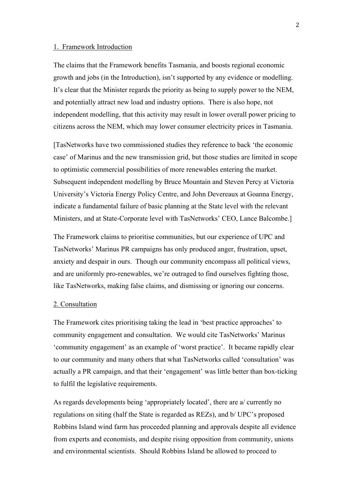#### 1. Framework Introduction

The claims that the Framework benefits Tasmania, and boosts regional economic growth and jobs (in the Introduction), isn't supported by any evidence or modelling. It's clear that the Minister regards the priority as being to supply power to the NEM, and potentially attract new load and industry options. There is also hope, not independent modelling, that this activity may result in lower overall power pricing to citizens across the NEM, which may lower consumer electricity prices in Tasmania.

[TasNetworks have two commissioned studies they reference to back 'the economic case' of Marinus and the new transmission grid, but those studies are limited in scope to optimistic commercial possibilities of more renewables entering the market. Subsequent independent modelling by Bruce Mountain and Steven Percy at Victoria University's Victoria Energy Policy Centre, and John Devereaux at Goanna Energy, indicate a fundamental failure of basic planning at the State level with the relevant Ministers, and at State-Corporate level with TasNetworks' CEO, Lance Balcombe.]

The Framework claims to prioritise communities, but our experience of UPC and TasNetworks' Marinus PR campaigns has only produced anger, frustration, upset, anxiety and despair in ours. Though our community encompass all political views, and are uniformly pro-renewables, we're outraged to find ourselves fighting those, like TasNetworks, making false claims, and dismissing or ignoring our concerns.

#### 2. Consultation

The Framework cites prioritising taking the lead in 'best practice approaches' to community engagement and consultation. We would cite TasNetworks' Marinus 'community engagement' as an example of 'worst practice'. It became rapidly clear to our community and many others that what TasNetworks called 'consultation' was actually a PR campaign, and that their 'engagement' was little better than box-ticking to fulfil the legislative requirements.

As regards developments being 'appropriately located', there are a/ currently no regulations on siting (half the State is regarded as REZs), and b/ UPC's proposed Robbins Island wind farm has proceeded planning and approvals despite all evidence from experts and economists, and despite rising opposition from community, unions and environmental scientists. Should Robbins Island be allowed to proceed to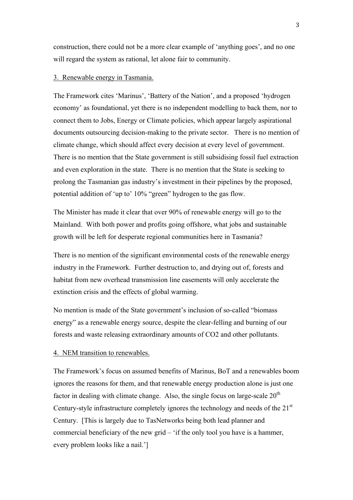construction, there could not be a more clear example of 'anything goes', and no one will regard the system as rational, let alone fair to community.

# 3. Renewable energy in Tasmania.

The Framework cites 'Marinus', 'Battery of the Nation', and a proposed 'hydrogen economy' as foundational, yet there is no independent modelling to back them, nor to connect them to Jobs, Energy or Climate policies, which appear largely aspirational documents outsourcing decision-making to the private sector. There is no mention of climate change, which should affect every decision at every level of government. There is no mention that the State government is still subsidising fossil fuel extraction and even exploration in the state. There is no mention that the State is seeking to prolong the Tasmanian gas industry's investment in their pipelines by the proposed, potential addition of 'up to' 10% "green" hydrogen to the gas flow.

The Minister has made it clear that over 90% of renewable energy will go to the Mainland. With both power and profits going offshore, what jobs and sustainable growth will be left for desperate regional communities here in Tasmania?

There is no mention of the significant environmental costs of the renewable energy industry in the Framework. Further destruction to, and drying out of, forests and habitat from new overhead transmission line easements will only accelerate the extinction crisis and the effects of global warming.

No mention is made of the State government's inclusion of so-called "biomass energy" as a renewable energy source, despite the clear-felling and burning of our forests and waste releasing extraordinary amounts of CO2 and other pollutants.

#### 4. NEM transition to renewables.

The Framework's focus on assumed benefits of Marinus, BoT and a renewables boom ignores the reasons for them, and that renewable energy production alone is just one factor in dealing with climate change. Also, the single focus on large-scale  $20<sup>th</sup>$ Century-style infrastructure completely ignores the technology and needs of the 21<sup>st</sup> Century. [This is largely due to TasNetworks being both lead planner and commercial beneficiary of the new grid – 'if the only tool you have is a hammer, every problem looks like a nail.']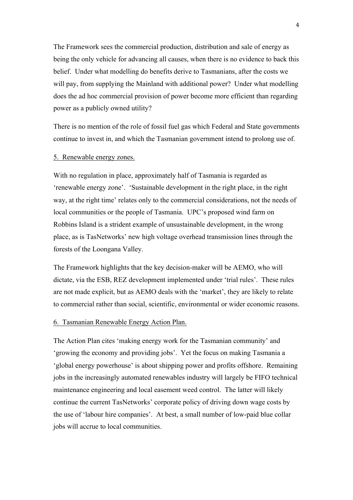The Framework sees the commercial production, distribution and sale of energy as being the only vehicle for advancing all causes, when there is no evidence to back this belief. Under what modelling do benefits derive to Tasmanians, after the costs we will pay, from supplying the Mainland with additional power? Under what modelling does the ad hoc commercial provision of power become more efficient than regarding power as a publicly owned utility?

There is no mention of the role of fossil fuel gas which Federal and State governments continue to invest in, and which the Tasmanian government intend to prolong use of.

## 5. Renewable energy zones.

With no regulation in place, approximately half of Tasmania is regarded as 'renewable energy zone'. 'Sustainable development in the right place, in the right way, at the right time' relates only to the commercial considerations, not the needs of local communities or the people of Tasmania. UPC's proposed wind farm on Robbins Island is a strident example of unsustainable development, in the wrong place, as is TasNetworks' new high voltage overhead transmission lines through the forests of the Loongana Valley.

The Framework highlights that the key decision-maker will be AEMO, who will dictate, via the ESB, REZ development implemented under 'trial rules'. These rules are not made explicit, but as AEMO deals with the 'market', they are likely to relate to commercial rather than social, scientific, environmental or wider economic reasons.

#### 6. Tasmanian Renewable Energy Action Plan.

The Action Plan cites 'making energy work for the Tasmanian community' and 'growing the economy and providing jobs'. Yet the focus on making Tasmania a 'global energy powerhouse' is about shipping power and profits offshore. Remaining jobs in the increasingly automated renewables industry will largely be FIFO technical maintenance engineering and local easement weed control. The latter will likely continue the current TasNetworks' corporate policy of driving down wage costs by the use of 'labour hire companies'. At best, a small number of low-paid blue collar jobs will accrue to local communities.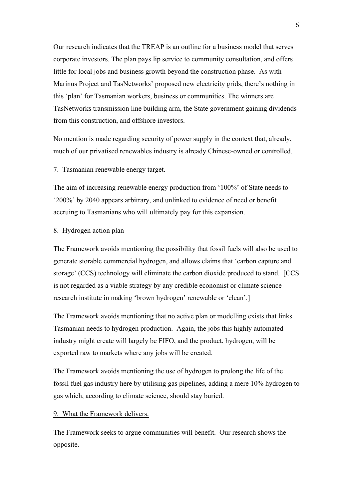Our research indicates that the TREAP is an outline for a business model that serves corporate investors. The plan pays lip service to community consultation, and offers little for local jobs and business growth beyond the construction phase. As with Marinus Project and TasNetworks' proposed new electricity grids, there's nothing in this 'plan' for Tasmanian workers, business or communities. The winners are TasNetworks transmission line building arm, the State government gaining dividends from this construction, and offshore investors.

No mention is made regarding security of power supply in the context that, already, much of our privatised renewables industry is already Chinese-owned or controlled.

#### 7. Tasmanian renewable energy target.

The aim of increasing renewable energy production from '100%' of State needs to '200%' by 2040 appears arbitrary, and unlinked to evidence of need or benefit accruing to Tasmanians who will ultimately pay for this expansion.

## 8. Hydrogen action plan

The Framework avoids mentioning the possibility that fossil fuels will also be used to generate storable commercial hydrogen, and allows claims that 'carbon capture and storage' (CCS) technology will eliminate the carbon dioxide produced to stand. [CCS is not regarded as a viable strategy by any credible economist or climate science research institute in making 'brown hydrogen' renewable or 'clean'.]

The Framework avoids mentioning that no active plan or modelling exists that links Tasmanian needs to hydrogen production. Again, the jobs this highly automated industry might create will largely be FIFO, and the product, hydrogen, will be exported raw to markets where any jobs will be created.

The Framework avoids mentioning the use of hydrogen to prolong the life of the fossil fuel gas industry here by utilising gas pipelines, adding a mere 10% hydrogen to gas which, according to climate science, should stay buried.

## 9. What the Framework delivers.

The Framework seeks to argue communities will benefit. Our research shows the opposite.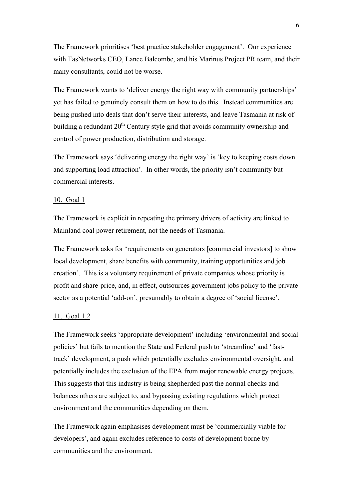The Framework prioritises 'best practice stakeholder engagement'. Our experience with TasNetworks CEO, Lance Balcombe, and his Marinus Project PR team, and their many consultants, could not be worse.

The Framework wants to 'deliver energy the right way with community partnerships' yet has failed to genuinely consult them on how to do this. Instead communities are being pushed into deals that don't serve their interests, and leave Tasmania at risk of building a redundant  $20<sup>th</sup>$  Century style grid that avoids community ownership and control of power production, distribution and storage.

The Framework says 'delivering energy the right way' is 'key to keeping costs down and supporting load attraction'. In other words, the priority isn't community but commercial interests.

#### 10. Goal 1

The Framework is explicit in repeating the primary drivers of activity are linked to Mainland coal power retirement, not the needs of Tasmania.

The Framework asks for 'requirements on generators [commercial investors] to show local development, share benefits with community, training opportunities and job creation'. This is a voluntary requirement of private companies whose priority is profit and share-price, and, in effect, outsources government jobs policy to the private sector as a potential 'add-on', presumably to obtain a degree of 'social license'.

## 11. Goal 1.2

The Framework seeks 'appropriate development' including 'environmental and social policies' but fails to mention the State and Federal push to 'streamline' and 'fasttrack' development, a push which potentially excludes environmental oversight, and potentially includes the exclusion of the EPA from major renewable energy projects. This suggests that this industry is being shepherded past the normal checks and balances others are subject to, and bypassing existing regulations which protect environment and the communities depending on them.

The Framework again emphasises development must be 'commercially viable for developers', and again excludes reference to costs of development borne by communities and the environment.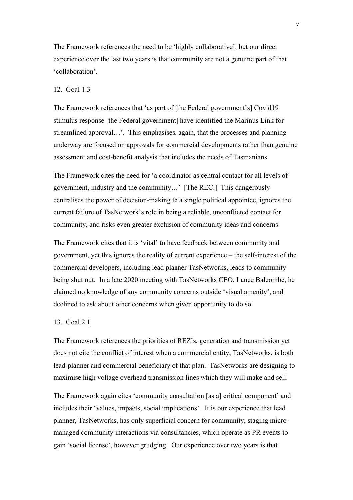The Framework references the need to be 'highly collaborative', but our direct experience over the last two years is that community are not a genuine part of that 'collaboration'.

#### 12. Goal 1.3

The Framework references that 'as part of [the Federal government's] Covid19 stimulus response [the Federal government] have identified the Marinus Link for streamlined approval…'. This emphasises, again, that the processes and planning underway are focused on approvals for commercial developments rather than genuine assessment and cost-benefit analysis that includes the needs of Tasmanians.

The Framework cites the need for 'a coordinator as central contact for all levels of government, industry and the community…' [The REC.] This dangerously centralises the power of decision-making to a single political appointee, ignores the current failure of TasNetwork's role in being a reliable, unconflicted contact for community, and risks even greater exclusion of community ideas and concerns.

The Framework cites that it is 'vital' to have feedback between community and government, yet this ignores the reality of current experience – the self-interest of the commercial developers, including lead planner TasNetworks, leads to community being shut out. In a late 2020 meeting with TasNetworks CEO, Lance Balcombe, he claimed no knowledge of any community concerns outside 'visual amenity', and declined to ask about other concerns when given opportunity to do so.

## 13. Goal 2.1

The Framework references the priorities of REZ's, generation and transmission yet does not cite the conflict of interest when a commercial entity, TasNetworks, is both lead-planner and commercial beneficiary of that plan. TasNetworks are designing to maximise high voltage overhead transmission lines which they will make and sell.

The Framework again cites 'community consultation [as a] critical component' and includes their 'values, impacts, social implications'. It is our experience that lead planner, TasNetworks, has only superficial concern for community, staging micromanaged community interactions via consultancies, which operate as PR events to gain 'social license', however grudging. Our experience over two years is that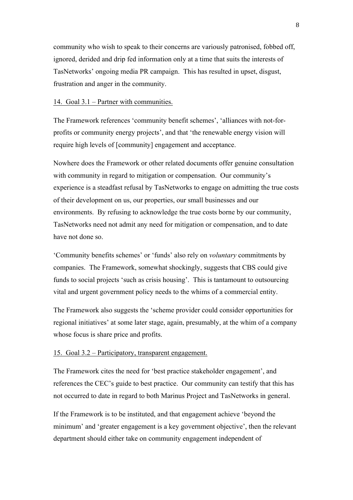community who wish to speak to their concerns are variously patronised, fobbed off, ignored, derided and drip fed information only at a time that suits the interests of TasNetworks' ongoing media PR campaign. This has resulted in upset, disgust, frustration and anger in the community.

### 14. Goal 3.1 – Partner with communities.

The Framework references 'community benefit schemes', 'alliances with not-forprofits or community energy projects', and that 'the renewable energy vision will require high levels of [community] engagement and acceptance.

Nowhere does the Framework or other related documents offer genuine consultation with community in regard to mitigation or compensation. Our community's experience is a steadfast refusal by TasNetworks to engage on admitting the true costs of their development on us, our properties, our small businesses and our environments. By refusing to acknowledge the true costs borne by our community, TasNetworks need not admit any need for mitigation or compensation, and to date have not done so.

'Community benefits schemes' or 'funds' also rely on *voluntary* commitments by companies. The Framework, somewhat shockingly, suggests that CBS could give funds to social projects 'such as crisis housing'. This is tantamount to outsourcing vital and urgent government policy needs to the whims of a commercial entity.

The Framework also suggests the 'scheme provider could consider opportunities for regional initiatives' at some later stage, again, presumably, at the whim of a company whose focus is share price and profits.

## 15. Goal 3.2 – Participatory, transparent engagement.

The Framework cites the need for 'best practice stakeholder engagement', and references the CEC's guide to best practice. Our community can testify that this has not occurred to date in regard to both Marinus Project and TasNetworks in general.

If the Framework is to be instituted, and that engagement achieve 'beyond the minimum' and 'greater engagement is a key government objective', then the relevant department should either take on community engagement independent of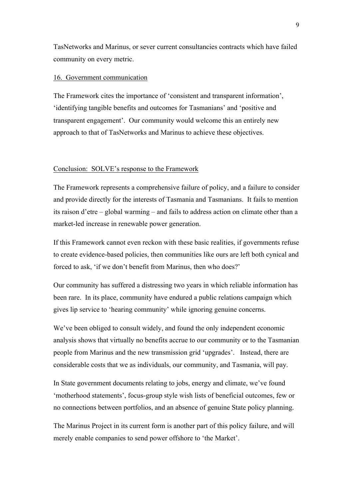TasNetworks and Marinus, or sever current consultancies contracts which have failed community on every metric.

### 16. Government communication

The Framework cites the importance of 'consistent and transparent information', 'identifying tangible benefits and outcomes for Tasmanians' and 'positive and transparent engagement'. Our community would welcome this an entirely new approach to that of TasNetworks and Marinus to achieve these objectives.

#### Conclusion: SOLVE's response to the Framework

The Framework represents a comprehensive failure of policy, and a failure to consider and provide directly for the interests of Tasmania and Tasmanians. It fails to mention its raison d'etre – global warming – and fails to address action on climate other than a market-led increase in renewable power generation.

If this Framework cannot even reckon with these basic realities, if governments refuse to create evidence-based policies, then communities like ours are left both cynical and forced to ask, 'if we don't benefit from Marinus, then who does?'

Our community has suffered a distressing two years in which reliable information has been rare. In its place, community have endured a public relations campaign which gives lip service to 'hearing community' while ignoring genuine concerns.

We've been obliged to consult widely, and found the only independent economic analysis shows that virtually no benefits accrue to our community or to the Tasmanian people from Marinus and the new transmission grid 'upgrades'. Instead, there are considerable costs that we as individuals, our community, and Tasmania, will pay.

In State government documents relating to jobs, energy and climate, we've found 'motherhood statements', focus-group style wish lists of beneficial outcomes, few or no connections between portfolios, and an absence of genuine State policy planning.

The Marinus Project in its current form is another part of this policy failure, and will merely enable companies to send power offshore to 'the Market'.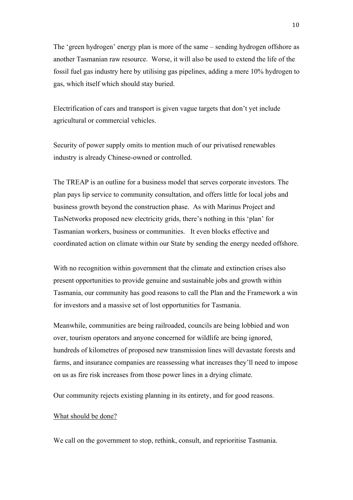The 'green hydrogen' energy plan is more of the same – sending hydrogen offshore as another Tasmanian raw resource. Worse, it will also be used to extend the life of the fossil fuel gas industry here by utilising gas pipelines, adding a mere 10% hydrogen to gas, which itself which should stay buried.

Electrification of cars and transport is given vague targets that don't yet include agricultural or commercial vehicles.

Security of power supply omits to mention much of our privatised renewables industry is already Chinese-owned or controlled.

The TREAP is an outline for a business model that serves corporate investors. The plan pays lip service to community consultation, and offers little for local jobs and business growth beyond the construction phase. As with Marinus Project and TasNetworks proposed new electricity grids, there's nothing in this 'plan' for Tasmanian workers, business or communities. It even blocks effective and coordinated action on climate within our State by sending the energy needed offshore.

With no recognition within government that the climate and extinction crises also present opportunities to provide genuine and sustainable jobs and growth within Tasmania, our community has good reasons to call the Plan and the Framework a win for investors and a massive set of lost opportunities for Tasmania.

Meanwhile, communities are being railroaded, councils are being lobbied and won over, tourism operators and anyone concerned for wildlife are being ignored, hundreds of kilometres of proposed new transmission lines will devastate forests and farms, and insurance companies are reassessing what increases they'll need to impose on us as fire risk increases from those power lines in a drying climate.

Our community rejects existing planning in its entirety, and for good reasons.

### What should be done?

We call on the government to stop, rethink, consult, and reprioritise Tasmania.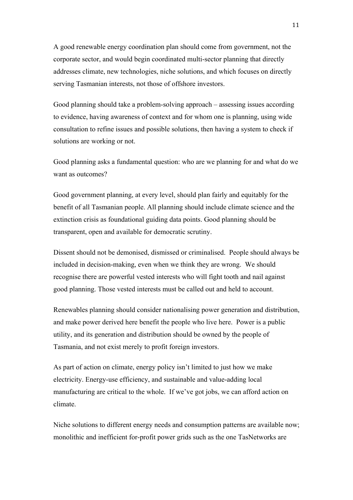A good renewable energy coordination plan should come from government, not the corporate sector, and would begin coordinated multi-sector planning that directly addresses climate, new technologies, niche solutions, and which focuses on directly serving Tasmanian interests, not those of offshore investors.

Good planning should take a problem-solving approach – assessing issues according to evidence, having awareness of context and for whom one is planning, using wide consultation to refine issues and possible solutions, then having a system to check if solutions are working or not.

Good planning asks a fundamental question: who are we planning for and what do we want as outcomes?

Good government planning, at every level, should plan fairly and equitably for the benefit of all Tasmanian people. All planning should include climate science and the extinction crisis as foundational guiding data points. Good planning should be transparent, open and available for democratic scrutiny.

Dissent should not be demonised, dismissed or criminalised. People should always be included in decision-making, even when we think they are wrong. We should recognise there are powerful vested interests who will fight tooth and nail against good planning. Those vested interests must be called out and held to account.

Renewables planning should consider nationalising power generation and distribution, and make power derived here benefit the people who live here. Power is a public utility, and its generation and distribution should be owned by the people of Tasmania, and not exist merely to profit foreign investors.

As part of action on climate, energy policy isn't limited to just how we make electricity. Energy-use efficiency, and sustainable and value-adding local manufacturing are critical to the whole. If we've got jobs, we can afford action on climate.

Niche solutions to different energy needs and consumption patterns are available now; monolithic and inefficient for-profit power grids such as the one TasNetworks are